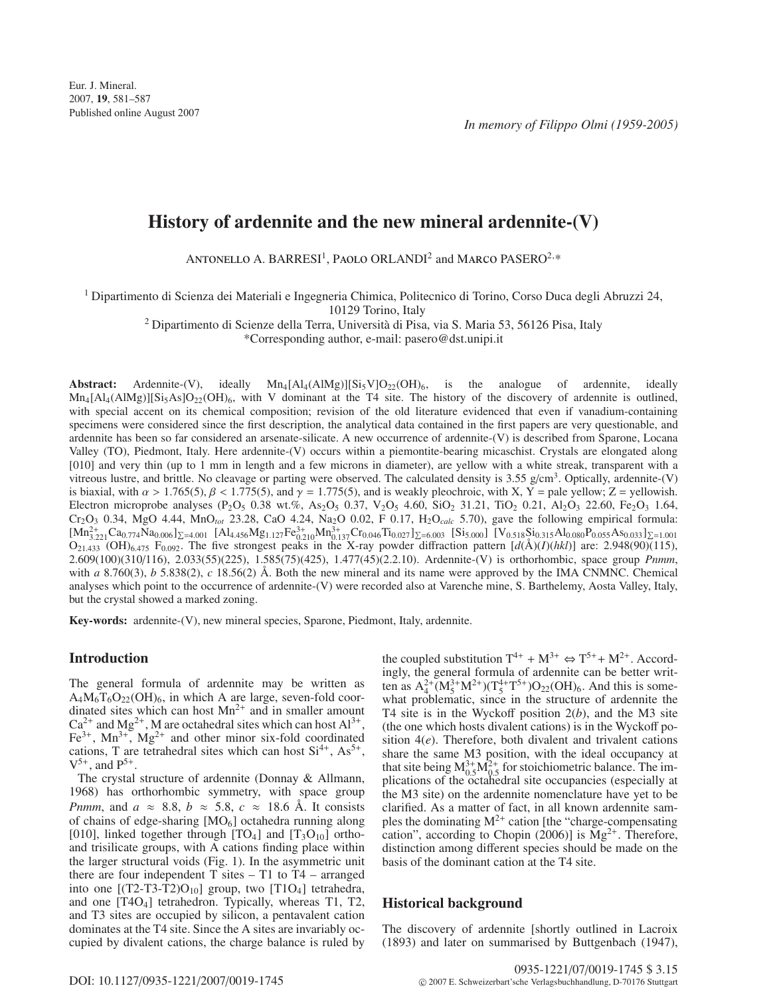# **History of ardennite and the new mineral ardennite-(V)**

ANTONELLO A. BARRESI<sup>1</sup>, PAOLO ORLANDI<sup>2</sup> and MARCO PASERO<sup>2,\*</sup>

<sup>1</sup> Dipartimento di Scienza dei Materiali e Ingegneria Chimica, Politecnico di Torino, Corso Duca degli Abruzzi 24,

10129 Torino, Italy

<sup>2</sup> Dipartimento di Scienze della Terra, Università di Pisa, via S. Maria 53, 56126 Pisa, Italy

\*Corresponding author, e-mail: pasero@dst.unipi.it

**Abstract:** Ardennite-(V), ideally  $Mn_4[A1_4(A1Mg)][Si_5V]O_{22}(OH)_6$ , is the analogue of ardennite, ideally  $Mn_4[A]_4(AIMg)][Si_5As]O_{22}(OH)_6$ , with V dominant at the T4 site. The history of the discovery of ardennite is outlined, with special accent on its chemical composition; revision of the old literature evidenced that even if vanadium-containing specimens were considered since the first description, the analytical data contained in the first papers are very questionable, and ardennite has been so far considered an arsenate-silicate. A new occurrence of ardennite-(V) is described from Sparone, Locana Valley (TO), Piedmont, Italy. Here ardennite-(V) occurs within a piemontite-bearing micaschist. Crystals are elongated along [010] and very thin (up to 1 mm in length and a few microns in diameter), are yellow with a white streak, transparent with a vitreous lustre, and brittle. No cleavage or parting were observed. The calculated density is 3.55 g/cm<sup>3</sup>. Optically, ardennite-(V) is biaxial, with  $\alpha > 1.765(5)$ ,  $\beta < 1.775(5)$ , and  $\gamma = 1.775(5)$ , and is weakly pleochroic, with X, Y = pale yellow; Z = yellowish. Electron microprobe analyses (P<sub>2</sub>O<sub>5</sub> 0.38 wt.%, As<sub>2</sub>O<sub>5</sub> 0.37, V<sub>2</sub>O<sub>5</sub> 4.60, SiO<sub>2</sub> 31.21, TiO<sub>2</sub> 0.21, Al<sub>2</sub>O<sub>3</sub> 22.60, Fe<sub>2</sub>O<sub>3</sub> 1.64, Cr2O3 0.34, MgO 4.44, MnO*tot* 23.28, CaO 4.24, Na2O 0.02, F 0.17, H2O*calc* 5.70), gave the following empirical formula:  $[Mn_{3.221}^{2+}Ca_{0.774}Na_{0.006}]_{\Sigma=4.001}$  [Al<sub>4.456</sub>Mg<sub>1.127</sub>Fe<sub>0.210</sub>Mn<sub>0.137</sub>Cr<sub>0.046</sub>Ti<sub>0.027</sub>]<sub> $\Sigma=6.003$ </sub> [Si<sub>5.000</sub>] [V<sub>0.518</sub>Si<sub>0.315</sub>Al<sub>0.080</sub>P<sub>0.055</sub>As<sub>0.033</sub>]<sub> $\Sigma=1.001$ </sub>  $O_{21.433}$  (OH)<sub>6.475</sub> F<sub>0.092</sub>. The five strongest peaks in the X-ray powder diffraction pattern  $[d(A)(I)(hk)]$  are: 2.948(90)(115), 2.609(100)(310/116), 2.033(55)(225), 1.585(75)(425), 1.477(45)(2.2.10). Ardennite-(V) is orthorhombic, space group *Pnmm*, with *a* 8.760(3), *b* 5.838(2), *c* 18.56(2) Å. Both the new mineral and its name were approved by the IMA CNMNC. Chemical analyses which point to the occurrence of ardennite-(V) were recorded also at Varenche mine, S. Barthelemy, Aosta Valley, Italy, but the crystal showed a marked zoning.

**Key-words:** ardennite-(V), new mineral species, Sparone, Piedmont, Italy, ardennite.

# **Introduction**

The general formula of ardennite may be written as  $A_4M_6T_6O_{22}(OH)_6$ , in which A are large, seven-fold coordinated sites which can host  $Mn^{2+}$  and in smaller amount  $Ca^{2+}$  and Mg<sup>2+</sup>, M are octahedral sites which can host  $Al^{3+}$ ,  $Fe<sup>3+</sup>$ , Mn<sup>3+</sup>, Mg<sup>2+</sup> and other minor six-fold coordinated cations, T are tetrahedral sites which can host  $Si^{4+}$ ,  $As^{5+}$ ,  $V^{5+}$ , and  $P^{5+}$ .

The crystal structure of ardennite (Donnay & Allmann, 1968) has orthorhombic symmetry, with space group *Pnmm*, and  $a \approx 8.8$ ,  $b \approx 5.8$ ,  $c \approx 18.6$  Å. It consists of chains of edge-sharing  $[MO_6]$  octahedra running along [010], linked together through  $[TQ_4]$  and  $[T_3Q_{10}]$  orthoand trisilicate groups, with A cations finding place within the larger structural voids (Fig. 1). In the asymmetric unit there are four independent  $T$  sites  $- T1$  to  $T4 - \text{arranged}$ into one  $[(T2-T3-T2)O_{10}]$  group, two  $[T1O_4]$  tetrahedra, and one [T4O4] tetrahedron. Typically, whereas T1, T2, and T3 sites are occupied by silicon, a pentavalent cation dominates at the T4 site. Since the A sites are invariably occupied by divalent cations, the charge balance is ruled by

the coupled substitution  $T^{4+} + M^{3+} \Leftrightarrow T^{5+} + M^{2+}$ . Accordingly, the general formula of ardennite can be better written as  $A_4^{2+}(M_5^{3+}M^{2+})(T_5^{4+}T^{5+})O_{22}(OH)_6$ . And this is somewhat problematic, since in the structure of ardennite the T4 site is in the Wyckoff position 2(*b*), and the M3 site (the one which hosts divalent cations) is in the Wyckoff position 4(*e*). Therefore, both divalent and trivalent cations share the same M3 position, with the ideal occupancy at that site being  $M_{0.5}^{3+}M_{0.5}^{2+}$  for stoichiometric balance. The implications of the octahedral site occupancies (especially at the M3 site) on the ardennite nomenclature have yet to be clarified. As a matter of fact, in all known ardennite samples the dominating  $M^{2+}$  cation [the "charge-compensating cation", according to Chopin (2006)] is  $Mg^{2+}$ . Therefore, distinction among different species should be made on the basis of the dominant cation at the T4 site.

# **Historical background**

The discovery of ardennite [shortly outlined in Lacroix (1893) and later on summarised by Buttgenbach (1947),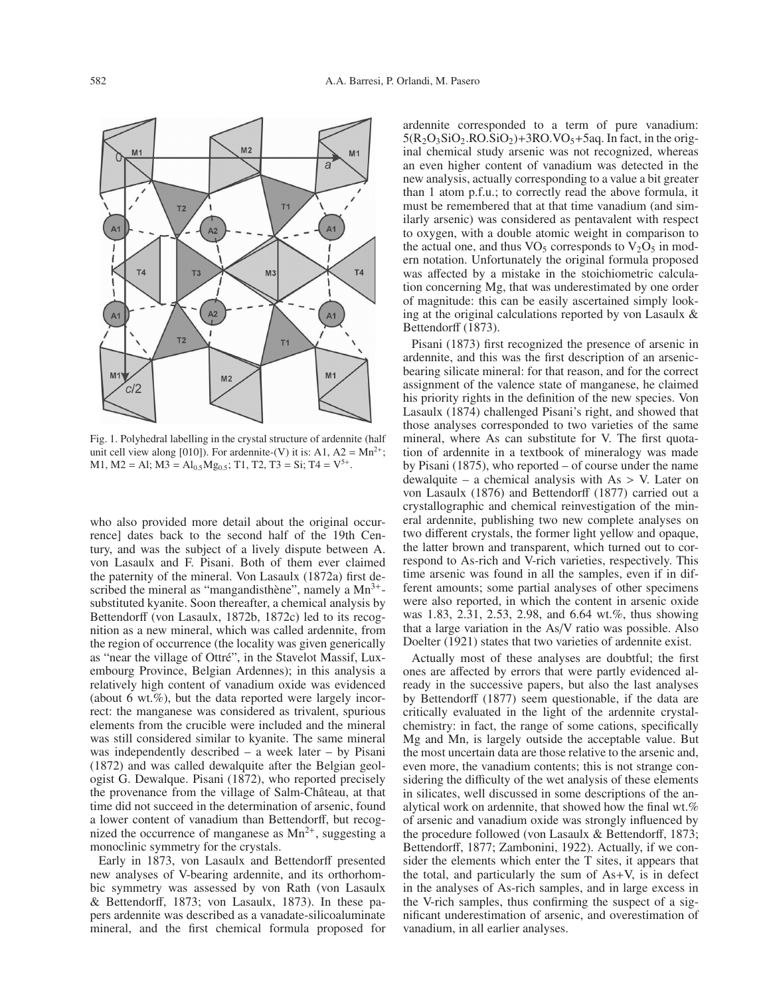

Fig. 1. Polyhedral labelling in the crystal structure of ardennite (half unit cell view along [010]). For ardennite-(V) it is: A1, A2 =  $Mn^{2+}$ ; M1, M2 = Al; M3 =  $Al<sub>0.5</sub>Mg<sub>0.5</sub>$ ; T1, T2, T3 = Si; T4 =  $V<sup>5+</sup>$ .

who also provided more detail about the original occurrence] dates back to the second half of the 19th Century, and was the subject of a lively dispute between A. von Lasaulx and F. Pisani. Both of them ever claimed the paternity of the mineral. Von Lasaulx (1872a) first described the mineral as "mangandisthène", namely a  $Mn^{3+}$ substituted kyanite. Soon thereafter, a chemical analysis by Bettendorff (von Lasaulx, 1872b, 1872c) led to its recognition as a new mineral, which was called ardennite, from the region of occurrence (the locality was given generically as "near the village of Ottré", in the Stavelot Massif, Luxembourg Province, Belgian Ardennes); in this analysis a relatively high content of vanadium oxide was evidenced (about 6 wt.%), but the data reported were largely incorrect: the manganese was considered as trivalent, spurious elements from the crucible were included and the mineral was still considered similar to kyanite. The same mineral was independently described – a week later – by Pisani (1872) and was called dewalquite after the Belgian geologist G. Dewalque. Pisani (1872), who reported precisely the provenance from the village of Salm-Château, at that time did not succeed in the determination of arsenic, found a lower content of vanadium than Bettendorff, but recognized the occurrence of manganese as  $Mn^{2+}$ , suggesting a monoclinic symmetry for the crystals.

Early in 1873, von Lasaulx and Bettendorff presented new analyses of V-bearing ardennite, and its orthorhombic symmetry was assessed by von Rath (von Lasaulx & Bettendorff, 1873; von Lasaulx, 1873). In these papers ardennite was described as a vanadate-silicoaluminate mineral, and the first chemical formula proposed for ardennite corresponded to a term of pure vanadium:  $5(R_2O_3SiO_2.RO.SiO_2)+3RO.VO_5+5aq.$  In fact, in the original chemical study arsenic was not recognized, whereas an even higher content of vanadium was detected in the new analysis, actually corresponding to a value a bit greater than 1 atom p.f.u.; to correctly read the above formula, it must be remembered that at that time vanadium (and similarly arsenic) was considered as pentavalent with respect to oxygen, with a double atomic weight in comparison to the actual one, and thus  $VO<sub>5</sub>$  corresponds to  $V<sub>2</sub>O<sub>5</sub>$  in modern notation. Unfortunately the original formula proposed was affected by a mistake in the stoichiometric calculation concerning Mg, that was underestimated by one order of magnitude: this can be easily ascertained simply looking at the original calculations reported by von Lasaulx & Bettendorff (1873).

Pisani (1873) first recognized the presence of arsenic in ardennite, and this was the first description of an arsenicbearing silicate mineral: for that reason, and for the correct assignment of the valence state of manganese, he claimed his priority rights in the definition of the new species. Von Lasaulx (1874) challenged Pisani's right, and showed that those analyses corresponded to two varieties of the same mineral, where As can substitute for V. The first quotation of ardennite in a textbook of mineralogy was made by Pisani (1875), who reported – of course under the name dewalquite – a chemical analysis with  $As > V$ . Later on von Lasaulx (1876) and Bettendorff (1877) carried out a crystallographic and chemical reinvestigation of the mineral ardennite, publishing two new complete analyses on two different crystals, the former light yellow and opaque, the latter brown and transparent, which turned out to correspond to As-rich and V-rich varieties, respectively. This time arsenic was found in all the samples, even if in different amounts; some partial analyses of other specimens were also reported, in which the content in arsenic oxide was 1.83, 2.31, 2.53, 2.98, and 6.64 wt.%, thus showing that a large variation in the As/V ratio was possible. Also Doelter (1921) states that two varieties of ardennite exist.

Actually most of these analyses are doubtful; the first ones are affected by errors that were partly evidenced already in the successive papers, but also the last analyses by Bettendorff (1877) seem questionable, if the data are critically evaluated in the light of the ardennite crystalchemistry: in fact, the range of some cations, specifically Mg and Mn, is largely outside the acceptable value. But the most uncertain data are those relative to the arsenic and, even more, the vanadium contents; this is not strange considering the difficulty of the wet analysis of these elements in silicates, well discussed in some descriptions of the analytical work on ardennite, that showed how the final wt.% of arsenic and vanadium oxide was strongly influenced by the procedure followed (von Lasaulx & Bettendorff, 1873; Bettendorff, 1877; Zambonini, 1922). Actually, if we consider the elements which enter the T sites, it appears that the total, and particularly the sum of As+V, is in defect in the analyses of As-rich samples, and in large excess in the V-rich samples, thus confirming the suspect of a significant underestimation of arsenic, and overestimation of vanadium, in all earlier analyses.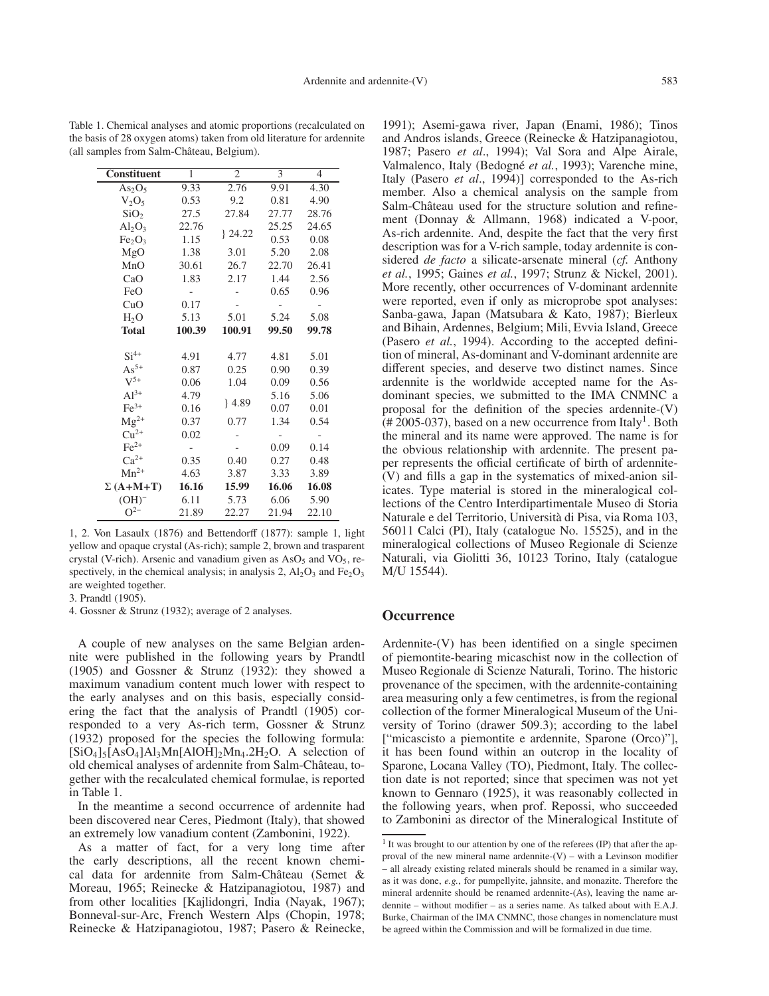| Constituent                    | $\mathbf{1}$<br>$\overline{2}$ |        | 3     | $\overline{4}$ |  |
|--------------------------------|--------------------------------|--------|-------|----------------|--|
| As <sub>2</sub> O <sub>5</sub> | 9.33                           | 2.76   | 9.91  | 4.30           |  |
| $V_2O_5$                       | 0.53                           | 9.2    | 0.81  | 4.90           |  |
| SiO <sub>2</sub>               | 27.5                           | 27.84  | 27.77 | 28.76          |  |
| $Al_2O_3$                      | 22.76                          |        | 25.25 | 24.65          |  |
| Fe <sub>2</sub> O <sub>3</sub> | 1.15                           | 24.22  | 0.53  | 0.08           |  |
| MgO                            | 1.38                           | 3.01   | 5.20  | 2.08           |  |
| MnO                            | 30.61                          | 26.7   | 22.70 | 26.41          |  |
| CaO                            | 1.83                           | 2.17   | 1.44  | 2.56           |  |
| FeO                            |                                |        | 0.65  | 0.96           |  |
| CuO                            | 0.17                           |        |       |                |  |
| H <sub>2</sub> O               | 5.13                           | 5.01   | 5.24  | 5.08           |  |
| <b>Total</b>                   | 100.39                         | 100.91 | 99.50 | 99.78          |  |
|                                |                                |        |       |                |  |
| $Si^{4+}$                      | 4.91                           | 4.77   | 4.81  | 5.01           |  |
| $As^{5+}$                      | 0.87                           | 0.25   | 0.90  | 0.39           |  |
| $V^{5+}$                       | 0.06                           | 1.04   | 0.09  | 0.56           |  |
| $Al^{3+}$                      | 4.79                           |        | 5.16  | 5.06           |  |
| $Fe3+$                         | 0.16                           | 4.89   | 0.07  | 0.01           |  |
| $Mg^{2+}$                      | 0.37                           | 0.77   | 1.34  | 0.54           |  |
| $Cu2+$                         | 0.02                           |        |       |                |  |
| $Fe2+$                         | -                              |        | 0.09  | 0.14           |  |
| $Ca^{2+}$                      | 0.35                           | 0.40   | 0.27  | 0.48           |  |
| $Mn^{2+}$                      | 4.63                           | 3.87   | 3.33  | 3.89           |  |
| $\Sigma(A+M+T)$                | 16.16                          | 15.99  | 16.06 | 16.08          |  |
| $(OH)^-$                       | 6.11                           | 5.73   | 6.06  | 5.90           |  |
| $O^{2-}$                       | 21.89                          | 22.27  | 21.94 | 22.10          |  |

Table 1. Chemical analyses and atomic proportions (recalculated on the basis of 28 oxygen atoms) taken from old literature for ardennite (all samples from Salm-Château, Belgium).

1, 2. Von Lasaulx (1876) and Bettendorff (1877): sample 1, light yellow and opaque crystal (As-rich); sample 2, brown and trasparent crystal (V-rich). Arsenic and vanadium given as  $AsO<sub>5</sub>$  and VO<sub>5</sub>, respectively, in the chemical analysis; in analysis 2,  $Al_2O_3$  and  $Fe_2O_3$ are weighted together.

3. Prandtl (1905).

4. Gossner & Strunz (1932); average of 2 analyses.

A couple of new analyses on the same Belgian ardennite were published in the following years by Prandtl (1905) and Gossner & Strunz (1932): they showed a maximum vanadium content much lower with respect to the early analyses and on this basis, especially considering the fact that the analysis of Prandtl (1905) corresponded to a very As-rich term, Gossner & Strunz (1932) proposed for the species the following formula:  $[SiO<sub>4</sub>]_{5}[AsO<sub>4</sub>]$ Al<sub>3</sub>Mn[AlOH]<sub>2</sub>Mn<sub>4</sub>.2H<sub>2</sub>O. A selection of old chemical analyses of ardennite from Salm-Château, together with the recalculated chemical formulae, is reported in Table 1.

In the meantime a second occurrence of ardennite had been discovered near Ceres, Piedmont (Italy), that showed an extremely low vanadium content (Zambonini, 1922).

As a matter of fact, for a very long time after the early descriptions, all the recent known chemical data for ardennite from Salm-Château (Semet & Moreau, 1965; Reinecke & Hatzipanagiotou, 1987) and from other localities [Kajlidongri, India (Nayak, 1967); Bonneval-sur-Arc, French Western Alps (Chopin, 1978; Reinecke & Hatzipanagiotou, 1987; Pasero & Reinecke,

1991); Asemi-gawa river, Japan (Enami, 1986); Tinos and Andros islands, Greece (Reinecke & Hatzipanagiotou, 1987; Pasero *et al*., 1994); Val Sora and Alpe Airale, Valmalenco, Italy (Bedogné *et al.*, 1993); Varenche mine, Italy (Pasero *et al*., 1994)] corresponded to the As-rich member. Also a chemical analysis on the sample from Salm-Château used for the structure solution and refinement (Donnay & Allmann, 1968) indicated a V-poor, As-rich ardennite. And, despite the fact that the very first description was for a V-rich sample, today ardennite is considered *de facto* a silicate-arsenate mineral (*cf.* Anthony *et al.*, 1995; Gaines *et al.*, 1997; Strunz & Nickel, 2001). More recently, other occurrences of V-dominant ardennite were reported, even if only as microprobe spot analyses: Sanba-gawa, Japan (Matsubara & Kato, 1987); Bierleux and Bihain, Ardennes, Belgium; Mili, Evvia Island, Greece (Pasero *et al.*, 1994). According to the accepted definition of mineral, As-dominant and V-dominant ardennite are different species, and deserve two distinct names. Since ardennite is the worldwide accepted name for the Asdominant species, we submitted to the IMA CNMNC a proposal for the definition of the species ardennite-(V)  $(\text{\# }2005\text{-}037)$ , based on a new occurrence from Italy<sup>1</sup>. Both the mineral and its name were approved. The name is for the obvious relationship with ardennite. The present paper represents the official certificate of birth of ardennite- (V) and fills a gap in the systematics of mixed-anion silicates. Type material is stored in the mineralogical collections of the Centro Interdipartimentale Museo di Storia Naturale e del Territorio, Università di Pisa, via Roma 103, 56011 Calci (PI), Italy (catalogue No. 15525), and in the mineralogical collections of Museo Regionale di Scienze Naturali, via Giolitti 36, 10123 Torino, Italy (catalogue M/U 15544).

#### **Occurrence**

Ardennite-(V) has been identified on a single specimen of piemontite-bearing micaschist now in the collection of Museo Regionale di Scienze Naturali, Torino. The historic provenance of the specimen, with the ardennite-containing area measuring only a few centimetres, is from the regional collection of the former Mineralogical Museum of the University of Torino (drawer 509.3); according to the label ["micascisto a piemontite e ardennite, Sparone (Orco)"], it has been found within an outcrop in the locality of Sparone, Locana Valley (TO), Piedmont, Italy. The collection date is not reported; since that specimen was not yet known to Gennaro (1925), it was reasonably collected in the following years, when prof. Repossi, who succeeded to Zambonini as director of the Mineralogical Institute of

 $1$  It was brought to our attention by one of the referees (IP) that after the approval of the new mineral name ardennite- $(V)$  – with a Levinson modifier – all already existing related minerals should be renamed in a similar way, as it was done, *e.g.*, for pumpellyite, jahnsite, and monazite. Therefore the mineral ardennite should be renamed ardennite-(As), leaving the name ardennite – without modifier – as a series name. As talked about with E.A.J. Burke, Chairman of the IMA CNMNC, those changes in nomenclature must be agreed within the Commission and will be formalized in due time.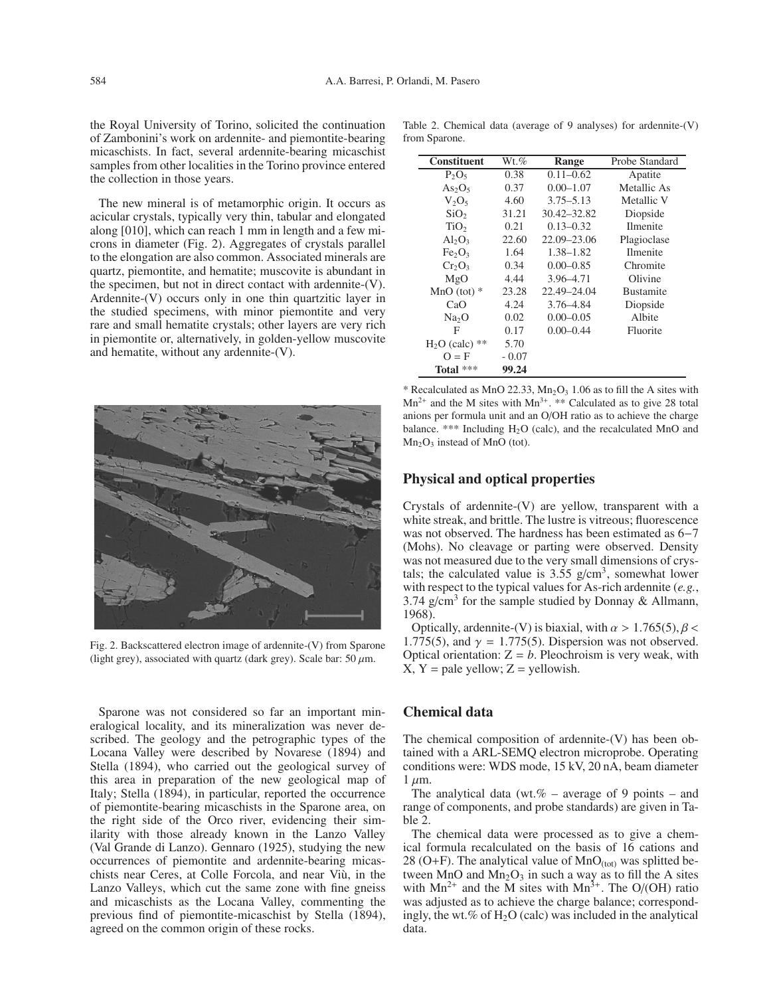the Royal University of Torino, solicited the continuation of Zambonini's work on ardennite- and piemontite-bearing micaschists. In fact, several ardennite-bearing micaschist samples from other localities in the Torino province entered the collection in those years.

The new mineral is of metamorphic origin. It occurs as acicular crystals, typically very thin, tabular and elongated along [010], which can reach 1 mm in length and a few microns in diameter (Fig. 2). Aggregates of crystals parallel to the elongation are also common. Associated minerals are quartz, piemontite, and hematite; muscovite is abundant in the specimen, but not in direct contact with ardennite-(V). Ardennite-(V) occurs only in one thin quartzitic layer in the studied specimens, with minor piemontite and very rare and small hematite crystals; other layers are very rich in piemontite or, alternatively, in golden-yellow muscovite and hematite, without any ardennite-(V).



Fig. 2. Backscattered electron image of ardennite-(V) from Sparone (light grey), associated with quartz (dark grey). Scale bar: 50  $\mu$ m.

Sparone was not considered so far an important mineralogical locality, and its mineralization was never described. The geology and the petrographic types of the Locana Valley were described by Novarese (1894) and Stella (1894), who carried out the geological survey of this area in preparation of the new geological map of Italy; Stella (1894), in particular, reported the occurrence of piemontite-bearing micaschists in the Sparone area, on the right side of the Orco river, evidencing their similarity with those already known in the Lanzo Valley (Val Grande di Lanzo). Gennaro (1925), studying the new occurrences of piemontite and ardennite-bearing micaschists near Ceres, at Colle Forcola, and near Viù, in the Lanzo Valleys, which cut the same zone with fine gneiss and micaschists as the Locana Valley, commenting the previous find of piemontite-micaschist by Stella (1894), agreed on the common origin of these rocks.

| <b>Constituent</b>             | $Wt.\%$ | Range         | Probe Standard   |
|--------------------------------|---------|---------------|------------------|
| $P_2O_5$                       | 0.38    | $0.11 - 0.62$ | Apatite          |
| As <sub>2</sub> O <sub>5</sub> | 0.37    | $0.00 - 1.07$ | Metallic As      |
| $V_2O_5$                       | 4.60    | $3.75 - 5.13$ | Metallic V       |
| SiO <sub>2</sub>               | 31.21   | 30.42–32.82   | Diopside         |
| TiO <sub>2</sub>               | 0.21    | $0.13 - 0.32$ | <b>Ilmenite</b>  |
| $Al_2O_3$                      | 22.60   | 22.09–23.06   | Plagioclase      |
| Fe <sub>2</sub> O <sub>3</sub> | 1.64    | 1.38–1.82     | <b>Ilmenite</b>  |
| $Cr_2O_3$                      | 0.34    | $0.00 - 0.85$ | Chromite         |
| MgO                            | 4.44    | 3.96-4.71     | Olivine          |
| MnO (tot) $*$                  | 23.28   | 22.49–24.04   | <b>Bustamite</b> |
| CaO                            | 4.24    | 3.76-4.84     | Diopside         |
| Na <sub>2</sub> O              | 0.02    | $0.00 - 0.05$ | Albite           |
| F                              | 0.17    | $0.00 - 0.44$ | Fluorite         |
| $H2O$ (calc)<br>**             | 5.70    |               |                  |
| $Q = F$                        | $-0.07$ |               |                  |
| Total $***$                    | 99.24   |               |                  |

\* Recalculated as MnO 22.33,  $Mn<sub>2</sub>O<sub>3</sub>$  1.06 as to fill the A sites with  $Mn^{2+}$  and the M sites with  $Mn^{3+}$ . \*\* Calculated as to give 28 total anions per formula unit and an O/OH ratio as to achieve the charge balance. \*\*\* Including H2O (calc), and the recalculated MnO and  $Mn<sub>2</sub>O<sub>3</sub>$  instead of MnO (tot).

#### **Physical and optical properties**

Crystals of ardennite-(V) are yellow, transparent with a white streak, and brittle. The lustre is vitreous; fluorescence was not observed. The hardness has been estimated as 6−7 (Mohs). No cleavage or parting were observed. Density was not measured due to the very small dimensions of crystals; the calculated value is  $3.55$  g/cm<sup>3</sup>, somewhat lower with respect to the typical values for As-rich ardennite (*e.g.*, 3.74  $g/cm<sup>3</sup>$  for the sample studied by Donnay & Allmann, 1968).

Optically, ardennite-(V) is biaxial, with  $\alpha > 1.765(5)$ ,  $\beta <$ 1.775(5), and  $\gamma = 1.775(5)$ . Dispersion was not observed. Optical orientation:  $Z = b$ . Pleochroism is very weak, with  $X, Y =$  pale yellow;  $Z =$  yellowish.

### **Chemical data**

The chemical composition of ardennite-(V) has been obtained with a ARL-SEMQ electron microprobe. Operating conditions were: WDS mode, 15 kV, 20 nA, beam diameter  $1 \mu m$ .

The analytical data (wt.% – average of 9 points – and range of components, and probe standards) are given in Table 2.

The chemical data were processed as to give a chemical formula recalculated on the basis of 16 cations and 28 (O+F). The analytical value of  $MnO<sub>(tot)</sub>$  was splitted between MnO and  $Mn_2O_3$  in such a way as to fill the A sites with  $Mn^{2+}$  and the M sites with  $Mn^{3+}$ . The O/(OH) ratio was adjusted as to achieve the charge balance; correspondingly, the wt.% of  $H_2O$  (calc) was included in the analytical data.

Table 2. Chemical data (average of 9 analyses) for ardennite-(V) from Sparone.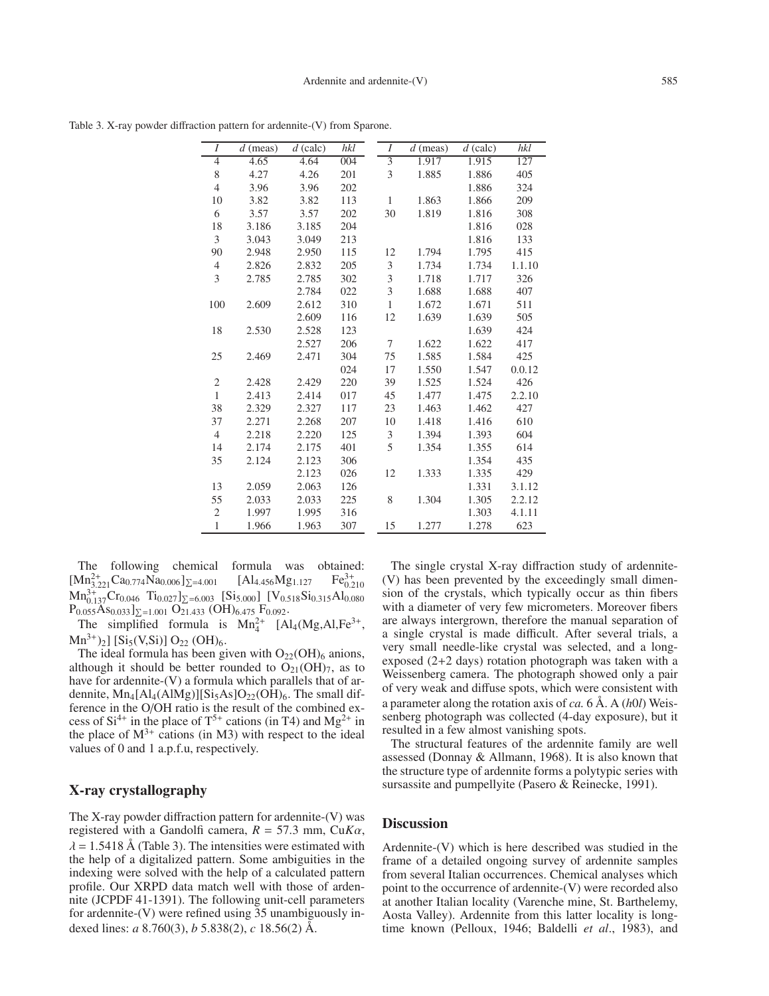Table 3. X-ray powder diffraction pattern for ardennite-(V) from Sparone.

| $\overline{I}$ | $d$ (meas) | $d$ (calc) | hkl | $\overline{I}$ | $d$ (meas) | $d$ (calc) | hkl    |
|----------------|------------|------------|-----|----------------|------------|------------|--------|
| $\overline{4}$ | 4.65       | 4.64       | 004 | $\overline{3}$ | 1.917      | 1.915      | 127    |
| 8              | 4.27       | 4.26       | 201 | 3              | 1.885      | 1.886      | 405    |
| $\overline{4}$ | 3.96       | 3.96       | 202 |                |            | 1.886      | 324    |
| 10             | 3.82       | 3.82       | 113 | 1              | 1.863      | 1.866      | 209    |
| 6              | 3.57       | 3.57       | 202 | 30             | 1.819      | 1.816      | 308    |
| 18             | 3.186      | 3.185      | 204 |                |            | 1.816      | 028    |
| 3              | 3.043      | 3.049      | 213 |                |            | 1.816      | 133    |
| 90             | 2.948      | 2.950      | 115 | 12             | 1.794      | 1.795      | 415    |
| $\overline{4}$ | 2.826      | 2.832      | 205 | 3              | 1.734      | 1.734      | 1.1.10 |
| 3              | 2.785      | 2.785      | 302 | 3              | 1.718      | 1.717      | 326    |
|                |            | 2.784      | 022 | 3              | 1.688      | 1.688      | 407    |
| 100            | 2.609      | 2.612      | 310 | $\mathbf{1}$   | 1.672      | 1.671      | 511    |
|                |            | 2.609      | 116 | 12             | 1.639      | 1.639      | 505    |
| 18             | 2.530      | 2.528      | 123 |                |            | 1.639      | 424    |
|                |            | 2.527      | 206 | 7              | 1.622      | 1.622      | 417    |
| 25             | 2.469      | 2.471      | 304 | 75             | 1.585      | 1.584      | 425    |
|                |            |            | 024 | 17             | 1.550      | 1.547      | 0.0.12 |
| $\overline{c}$ | 2.428      | 2.429      | 220 | 39             | 1.525      | 1.524      | 426    |
| $\mathbf{1}$   | 2.413      | 2.414      | 017 | 45             | 1.477      | 1.475      | 2.2.10 |
| 38             | 2.329      | 2.327      | 117 | 23             | 1.463      | 1.462      | 427    |
| 37             | 2.271      | 2.268      | 207 | 10             | 1.418      | 1.416      | 610    |
| $\overline{4}$ | 2.218      | 2.220      | 125 | 3              | 1.394      | 1.393      | 604    |
| 14             | 2.174      | 2.175      | 401 | 5              | 1.354      | 1.355      | 614    |
| 35             | 2.124      | 2.123      | 306 |                |            | 1.354      | 435    |
|                |            | 2.123      | 026 | 12             | 1.333      | 1.335      | 429    |
| 13             | 2.059      | 2.063      | 126 |                |            | 1.331      | 3.1.12 |
| 55             | 2.033      | 2.033      | 225 | 8              | 1.304      | 1.305      | 2.2.12 |
| $\mathfrak{2}$ | 1.997      | 1.995      | 316 |                |            | 1.303      | 4.1.11 |
| $\mathbf{1}$   | 1.966      | 1.963      | 307 | 15             | 1.277      | 1.278      | 623    |

The following chemical formula was obtained:  $[Mn_{3.221}^{2+}Ca_{0.774}Na_{0.006}]_{\Sigma=4.001}$  [Al<sub>4.456</sub>Mg<sub>1.127</sub> Fe<sub>0.2</sub><sup>3+</sup>  $Fe^{3+}_{0.210}$  $Mn_{0.137}^{3+}Cr_{0.046}$   $Ti_{0.027}$ ] $_{\Sigma=6.003}$  [Si<sub>5.000</sub>] [V<sub>0.518</sub>Si<sub>0.315</sub>Al<sub>0.080</sub>]  $P_{0.055}$ As<sub>0.033</sub>]<sub> $\Sigma$ =1.001</sub> O<sub>21.433</sub> (OH)<sub>6.475</sub> F<sub>0.092</sub>.

The simplified formula is  $Mn_4^{2+}$  [Al<sub>4</sub>(Mg,Al,Fe<sup>3+</sup>,  $Mn^{3+}$ <sub>2</sub>] [Si<sub>5</sub>(V,Si)] O<sub>22</sub> (OH)<sub>6</sub>.

The ideal formula has been given with  $O_{22}(OH)_{6}$  anions, although it should be better rounded to  $O_{21}(OH)_{7}$ , as to have for ardennite-(V) a formula which parallels that of ardennite,  $Mn_4[A1_4(A1Mg)][Si_5As]O_{22}(OH)_6$ . The small difference in the O/OH ratio is the result of the combined excess of  $Si^{4+}$  in the place of  $T^{5+}$  cations (in T4) and  $Mg^{2+}$  in the place of  $M^{3+}$  cations (in M3) with respect to the ideal values of 0 and 1 a.p.f.u, respectively.

## **X-ray crystallography**

The X-ray powder diffraction pattern for ardennite-(V) was registered with a Gandolfi camera, *R* = 57.3 mm, Cu*K*α,  $\lambda = 1.5418$  Å (Table 3). The intensities were estimated with the help of a digitalized pattern. Some ambiguities in the indexing were solved with the help of a calculated pattern profile. Our XRPD data match well with those of ardennite (JCPDF 41-1391). The following unit-cell parameters for ardennite-(V) were refined using 35 unambiguously indexed lines: *a* 8.760(3), *b* 5.838(2), *c* 18.56(2) Å.

The single crystal X-ray diffraction study of ardennite- (V) has been prevented by the exceedingly small dimension of the crystals, which typically occur as thin fibers with a diameter of very few micrometers. Moreover fibers are always intergrown, therefore the manual separation of a single crystal is made difficult. After several trials, a very small needle-like crystal was selected, and a longexposed (2+2 days) rotation photograph was taken with a Weissenberg camera. The photograph showed only a pair of very weak and diffuse spots, which were consistent with a parameter along the rotation axis of *ca.* 6 Å. A (*h*0*l*) Weissenberg photograph was collected (4-day exposure), but it resulted in a few almost vanishing spots.

The structural features of the ardennite family are well assessed (Donnay & Allmann, 1968). It is also known that the structure type of ardennite forms a polytypic series with sursassite and pumpellyite (Pasero & Reinecke, 1991).

#### **Discussion**

Ardennite-(V) which is here described was studied in the frame of a detailed ongoing survey of ardennite samples from several Italian occurrences. Chemical analyses which point to the occurrence of ardennite-(V) were recorded also at another Italian locality (Varenche mine, St. Barthelemy, Aosta Valley). Ardennite from this latter locality is longtime known (Pelloux, 1946; Baldelli *et al*., 1983), and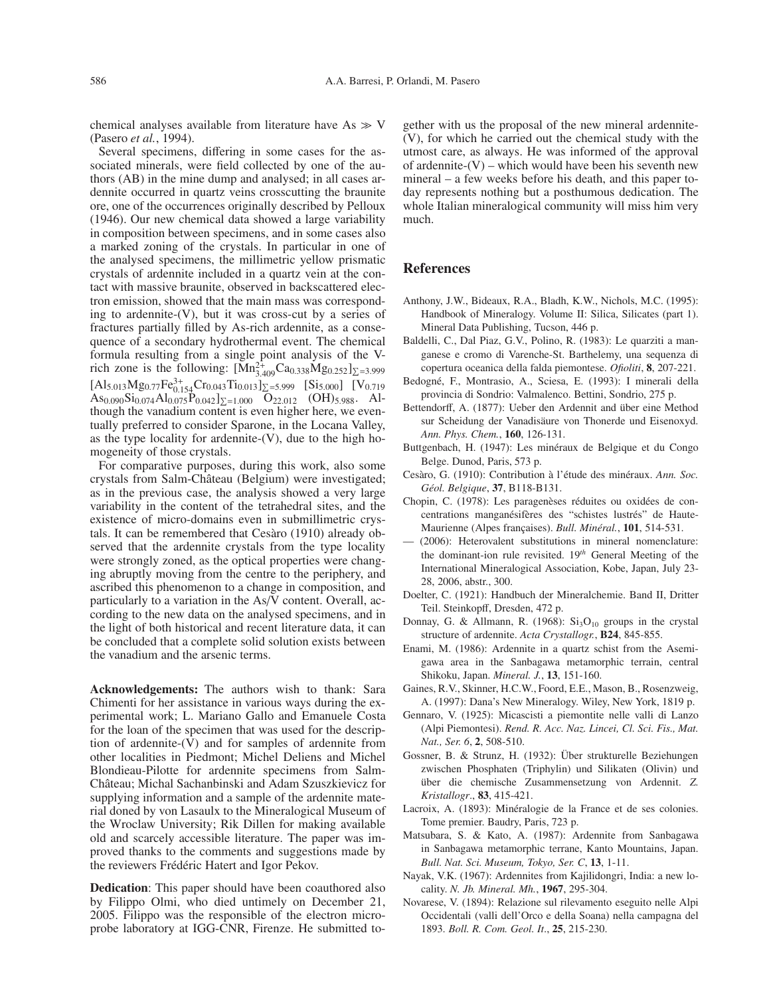chemical analyses available from literature have  $As \gg V$ (Pasero *et al.*, 1994).

Several specimens, differing in some cases for the associated minerals, were field collected by one of the authors (AB) in the mine dump and analysed; in all cases ardennite occurred in quartz veins crosscutting the braunite ore, one of the occurrences originally described by Pelloux (1946). Our new chemical data showed a large variability in composition between specimens, and in some cases also a marked zoning of the crystals. In particular in one of the analysed specimens, the millimetric yellow prismatic crystals of ardennite included in a quartz vein at the contact with massive braunite, observed in backscattered electron emission, showed that the main mass was corresponding to ardennite- $(V)$ , but it was cross-cut by a series of fractures partially filled by As-rich ardennite, as a consequence of a secondary hydrothermal event. The chemical formula resulting from a single point analysis of the Vrich zone is the following:  $[Mn_{3.409}^{2+}Ca_{0.338}Mg_{0.252}]_{\Sigma=3.999}$  $[A]_{5.013}Mg_{0.77}Fe_{0.154}^{3+}Cr_{0.043}Ti_{0.013}]_{\Sigma=5.999}$   $[S]_{5.000}$   $[V]_{0.719}$  $\text{As}_{0.090}\text{Si}_{0.074}\text{Al}_{0.075}\text{P}_{0.042}$ ]<sub> $\Sigma=1.000$ </sub>  $\text{O}_{22.012}$  (OH)5.988. Although the vanadium content is even higher here, we eventually preferred to consider Sparone, in the Locana Valley, as the type locality for ardennite- $(V)$ , due to the high homogeneity of those crystals.

For comparative purposes, during this work, also some crystals from Salm-Château (Belgium) were investigated; as in the previous case, the analysis showed a very large variability in the content of the tetrahedral sites, and the existence of micro-domains even in submillimetric crystals. It can be remembered that Cesàro (1910) already observed that the ardennite crystals from the type locality were strongly zoned, as the optical properties were changing abruptly moving from the centre to the periphery, and ascribed this phenomenon to a change in composition, and particularly to a variation in the As/V content. Overall, according to the new data on the analysed specimens, and in the light of both historical and recent literature data, it can be concluded that a complete solid solution exists between the vanadium and the arsenic terms.

**Acknowledgements:** The authors wish to thank: Sara Chimenti for her assistance in various ways during the experimental work; L. Mariano Gallo and Emanuele Costa for the loan of the specimen that was used for the description of ardennite-(V) and for samples of ardennite from other localities in Piedmont; Michel Deliens and Michel Blondieau-Pilotte for ardennite specimens from Salm-Château; Michal Sachanbinski and Adam Szuszkievicz for supplying information and a sample of the ardennite material doned by von Lasaulx to the Mineralogical Museum of the Wroclaw University; Rik Dillen for making available old and scarcely accessible literature. The paper was improved thanks to the comments and suggestions made by the reviewers Frédéric Hatert and Igor Pekov.

**Dedication**: This paper should have been coauthored also by Filippo Olmi, who died untimely on December 21, 2005. Filippo was the responsible of the electron microprobe laboratory at IGG-CNR, Firenze. He submitted to-

gether with us the proposal of the new mineral ardennite- (V), for which he carried out the chemical study with the utmost care, as always. He was informed of the approval of ardennite- $(V)$  – which would have been his seventh new mineral – a few weeks before his death, and this paper today represents nothing but a posthumous dedication. The whole Italian mineralogical community will miss him very much.

#### **References**

- Anthony, J.W., Bideaux, R.A., Bladh, K.W., Nichols, M.C. (1995): Handbook of Mineralogy. Volume II: Silica, Silicates (part 1). Mineral Data Publishing, Tucson, 446 p.
- Baldelli, C., Dal Piaz, G.V., Polino, R. (1983): Le quarziti a manganese e cromo di Varenche-St. Barthelemy, una sequenza di copertura oceanica della falda piemontese. *Ofioliti*, **8**, 207-221.
- Bedogné, F., Montrasio, A., Sciesa, E. (1993): I minerali della provincia di Sondrio: Valmalenco. Bettini, Sondrio, 275 p.
- Bettendorff, A. (1877): Ueber den Ardennit and über eine Method sur Scheidung der Vanadisäure von Thonerde und Eisenoxyd. *Ann. Phys. Chem.*, **160**, 126-131.
- Buttgenbach, H. (1947): Les minéraux de Belgique et du Congo Belge. Dunod, Paris, 573 p.
- Cesàro, G. (1910): Contribution à l'étude des minéraux. *Ann. Soc. Géol. Belgique*, **37**, B118-B131.
- Chopin, C. (1978): Les paragenèses réduites ou oxidées de concentrations manganésifères des "schistes lustrés" de Haute-Maurienne (Alpes françaises). *Bull. Minéral.*, **101**, 514-531.
- (2006): Heterovalent substitutions in mineral nomenclature: the dominant-ion rule revisited. 19*th* General Meeting of the International Mineralogical Association, Kobe, Japan, July 23- 28, 2006, abstr., 300.
- Doelter, C. (1921): Handbuch der Mineralchemie. Band II, Dritter Teil. Steinkopff, Dresden, 472 p.
- Donnay, G. & Allmann, R. (1968):  $Si<sub>3</sub>O<sub>10</sub>$  groups in the crystal structure of ardennite. *Acta Crystallogr.*, **B24**, 845-855.
- Enami, M. (1986): Ardennite in a quartz schist from the Asemigawa area in the Sanbagawa metamorphic terrain, central Shikoku, Japan. *Mineral. J.*, **13**, 151-160.
- Gaines, R.V., Skinner, H.C.W., Foord, E.E., Mason, B., Rosenzweig, A. (1997): Dana's New Mineralogy. Wiley, New York, 1819 p.
- Gennaro, V. (1925): Micascisti a piemontite nelle valli di Lanzo (Alpi Piemontesi). *Rend. R. Acc. Naz. Lincei, Cl. Sci. Fis., Mat. Nat., Ser. 6*, **2**, 508-510.
- Gossner, B. & Strunz, H. (1932): Über strukturelle Beziehungen zwischen Phosphaten (Triphylin) und Silikaten (Olivin) und über die chemische Zusammensetzung von Ardennit. *Z. Kristallogr*., **83**, 415-421.
- Lacroix, A. (1893): Minéralogie de la France et de ses colonies. Tome premier. Baudry, Paris, 723 p.
- Matsubara, S. & Kato, A. (1987): Ardennite from Sanbagawa in Sanbagawa metamorphic terrane, Kanto Mountains, Japan. *Bull. Nat. Sci. Museum, Tokyo, Ser. C*, **13**, 1-11.
- Nayak, V.K. (1967): Ardennites from Kajilidongri, India: a new locality. *N. Jb. Mineral. Mh.*, **1967**, 295-304.
- Novarese, V. (1894): Relazione sul rilevamento eseguito nelle Alpi Occidentali (valli dell'Orco e della Soana) nella campagna del 1893. *Boll. R. Com. Geol. It*., **25**, 215-230.